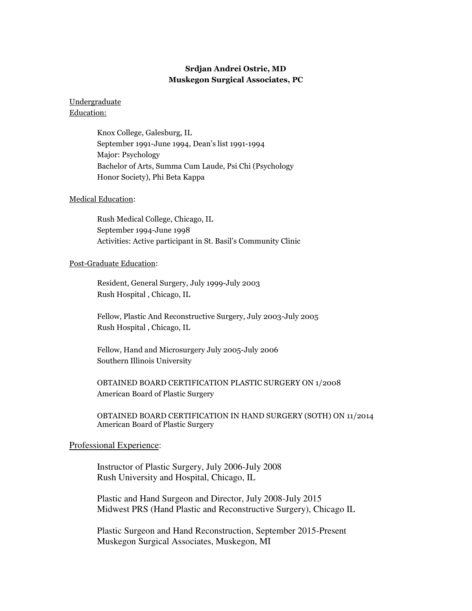# Srdjan Andrei Ostric, MD Muskegon Surgical Associates, PC

## Undergraduate Education:

Knox College, Galesburg, IL September 1991-June 1994, Dean's list 1991-1994 Major: Psychology Bachelor of Arts, Summa Cum Laude, Psi Chi (Psychology Honor Society), Phi Beta Kappa

## Medical Education:

Rush Medical College, Chicago, IL September 1994-June 1998 Activities: Active participant in St. Basil's Community Clinic

## Post-Graduate Education:

Resident, General Surgery, July 1999-July 2003 Rush Hospital , Chicago, IL

 Fellow, Plastic And Reconstructive Surgery, July 2003-July 2005 Rush Hospital , Chicago, IL

 Fellow, Hand and Microsurgery July 2005-July 2006 Southern Illinois University

 OBTAINED BOARD CERTIFICATION PLASTIC SURGERY ON 1/2008 American Board of Plastic Surgery

OBTAINED BOARD CERTIFICATION IN HAND SURGERY (SOTH) ON 11/2014 American Board of Plastic Surgery

## Professional Experience:

 Instructor of Plastic Surgery, July 2006-July 2008 Rush University and Hospital, Chicago, IL

 Plastic and Hand Surgeon and Director, July 2008-July 2015 Midwest PRS (Hand Plastic and Reconstructive Surgery), Chicago IL

 Plastic Surgeon and Hand Reconstruction, September 2015-Present Muskegon Surgical Associates, Muskegon, MI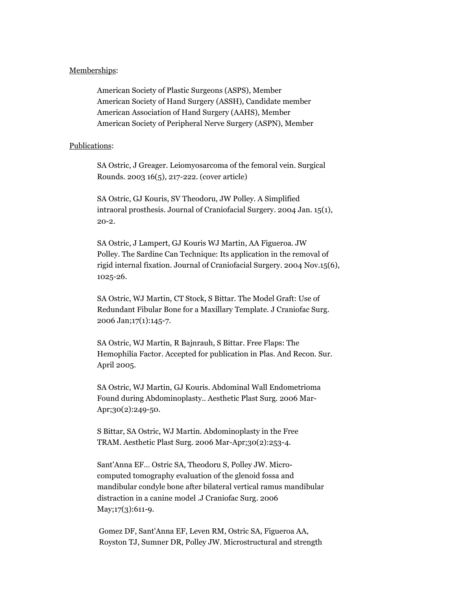### Memberships:

American Society of Plastic Surgeons (ASPS), Member American Society of Hand Surgery (ASSH), Candidate member American Association of Hand Surgery (AAHS), Member American Society of Peripheral Nerve Surgery (ASPN), Member

### Publications:

SA Ostric, J Greager. Leiomyosarcoma of the femoral vein. Surgical Rounds. 2003 16(5), 217-222. (cover article)

 SA Ostric, GJ Kouris, SV Theodoru, JW Polley. A Simplified intraoral prosthesis. Journal of Craniofacial Surgery. 2004 Jan. 15(1), 20-2.

 SA Ostric, J Lampert, GJ Kouris WJ Martin, AA Figueroa. JW Polley. The Sardine Can Technique: Its application in the removal of rigid internal fixation. Journal of Craniofacial Surgery. 2004 Nov.15(6), 1025-26.

 SA Ostric, WJ Martin, CT Stock, S Bittar. The Model Graft: Use of Redundant Fibular Bone for a Maxillary Template. J Craniofac Surg. 2006 Jan;17(1):145-7.

 SA Ostric, WJ Martin, R Bajnrauh, S Bittar. Free Flaps: The Hemophilia Factor. Accepted for publication in Plas. And Recon. Sur. April 2005.

 SA Ostric, WJ Martin, GJ Kouris. Abdominal Wall Endometrioma Found during Abdominoplasty.. Aesthetic Plast Surg. 2006 Mar- Apr;30(2):249-50.

 S Bittar, SA Ostric, WJ Martin. Abdominoplasty in the Free TRAM. Aesthetic Plast Surg. 2006 Mar-Apr;30(2):253-4.

 Sant'Anna EF… Ostric SA, Theodoru S, Polley JW. Micro computed tomography evaluation of the glenoid fossa and mandibular condyle bone after bilateral vertical ramus mandibular distraction in a canine model .J Craniofac Surg. 2006 May;17(3):611-9.

 Gomez DF, Sant'Anna EF, Leven RM, Ostric SA, Figueroa AA, Royston TJ, Sumner DR, Polley JW. Microstructural and strength